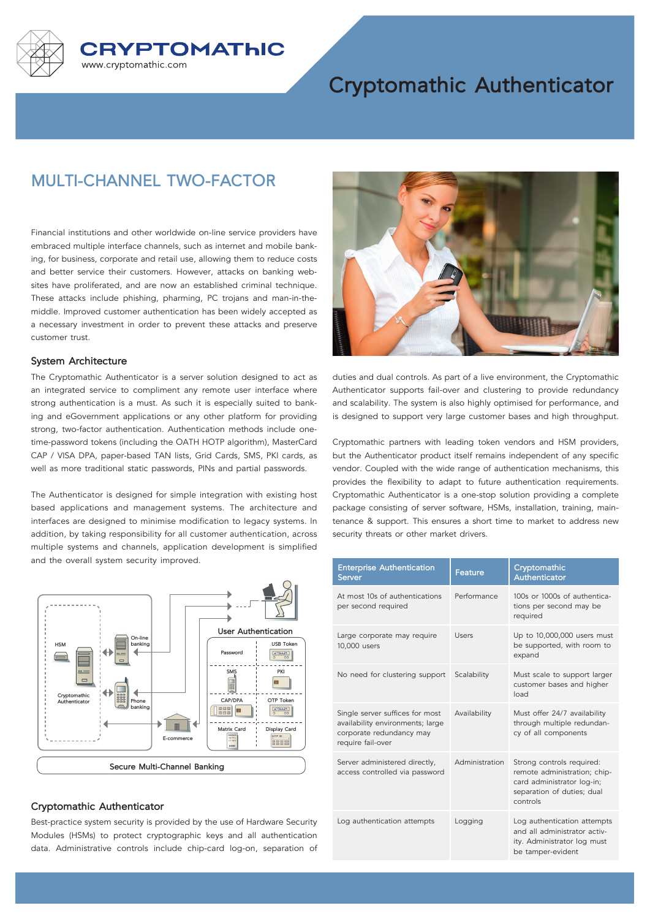

# **Cryptomathic Authenticator**

## **MULTI-CHANNEL TWO-FACTOR**

Financial institutions and other worldwide on-line service providers have embraced multiple interface channels, such as internet and mobile banking, for business, corporate and retail use, allowing them to reduce costs and better service their customers. However, attacks on banking websites have proliferated, and are now an established criminal technique. These attacks include phishing, pharming, PC trojans and man-in-themiddle. Improved customer authentication has been widely accepted as a necessary investment in order to prevent these attacks and preserve customer trust.

#### **System Architecture**

The Cryptomathic Authenticator is a server solution designed to act as an integrated service to compliment any remote user interface where strong authentication is a must. As such it is especially suited to banking and eGovernment applications or any other platform for providing strong, two-factor authentication. Authentication methods include onetime-password tokens (including the OATH HOTP algorithm), MasterCard CAP / VISA DPA, paper-based TAN lists, Grid Cards, SMS, PKI cards, as well as more traditional static passwords, PINs and partial passwords.

The Authenticator is designed for simple integration with existing host based applications and management systems. The architecture and interfaces are designed to minimise modification to legacy systems. In addition, by taking responsibility for all customer authentication, across multiple systems and channels, application development is simplified and the overall system security improved.



#### **Cryptomathic Authenticator**

Best-practice system security is provided by the use of Hardware Security Modules (HSMs) to protect cryptographic keys and all authentication data. Administrative controls include chip-card log-on, separation of



duties and dual controls. As part of a live environment, the Cryptomathic Authenticator supports fail-over and clustering to provide redundancy and scalability. The system is also highly optimised for performance, and is designed to support very large customer bases and high throughput.

Cryptomathic partners with leading token vendors and HSM providers, but the Authenticator product itself remains independent of any specific vendor. Coupled with the wide range of authentication mechanisms, this provides the flexibility to adapt to future authentication requirements. Cryptomathic Authenticator is a one-stop solution providing a complete package consisting of server software, HSMs, installation, training, maintenance & support. This ensures a short time to market to address new security threats or other market drivers.

| <b>Enterprise Authentication</b><br>Server                                                                           | <b>Feature</b> | Cryptomathic<br>Authenticator                                                                                                     |
|----------------------------------------------------------------------------------------------------------------------|----------------|-----------------------------------------------------------------------------------------------------------------------------------|
| At most 10s of authentications<br>per second required                                                                | Performance    | 100s or 1000s of authentica-<br>tions per second may be<br>required                                                               |
| Large corporate may require<br>10,000 users                                                                          | LISARS         | Up to 10,000,000 users must<br>be supported, with room to<br>expand                                                               |
| No need for clustering support                                                                                       | Scalability    | Must scale to support larger<br>customer bases and higher<br>load                                                                 |
| Single server suffices for most<br>availability environments; large<br>corporate redundancy may<br>require fail-over | Availability   | Must offer 24/7 availability<br>through multiple redundan-<br>cy of all components                                                |
| Server administered directly,<br>access controlled via password                                                      | Administration | Strong controls required:<br>remote administration; chip-<br>card administrator log-in;<br>separation of duties; dual<br>controls |
| Log authentication attempts                                                                                          | Logging        | Log authentication attempts<br>and all administrator activ-<br>ity. Administrator log must<br>be tamper-evident                   |